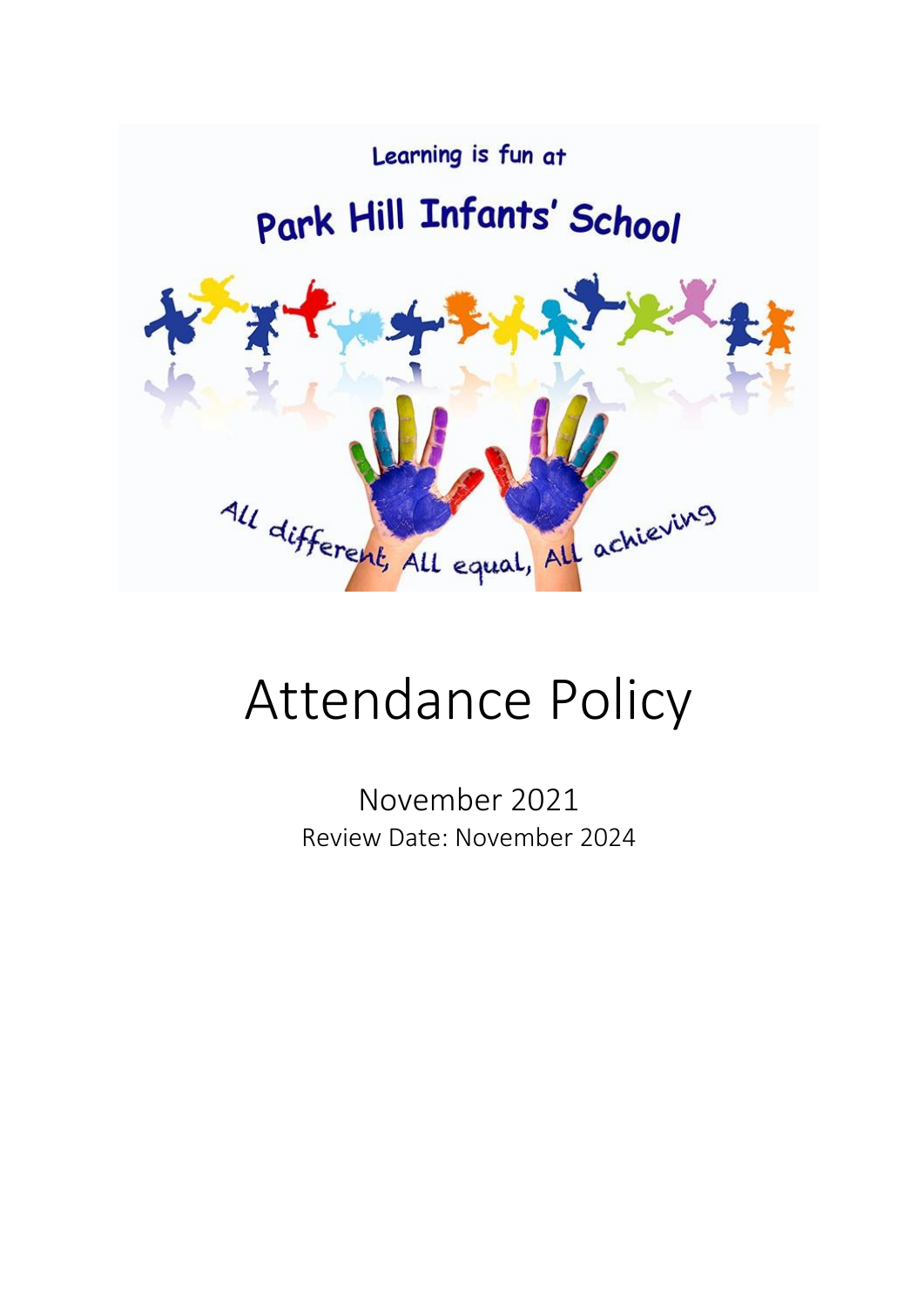

# Attendance Policy

November 2021 Review Date: November 2024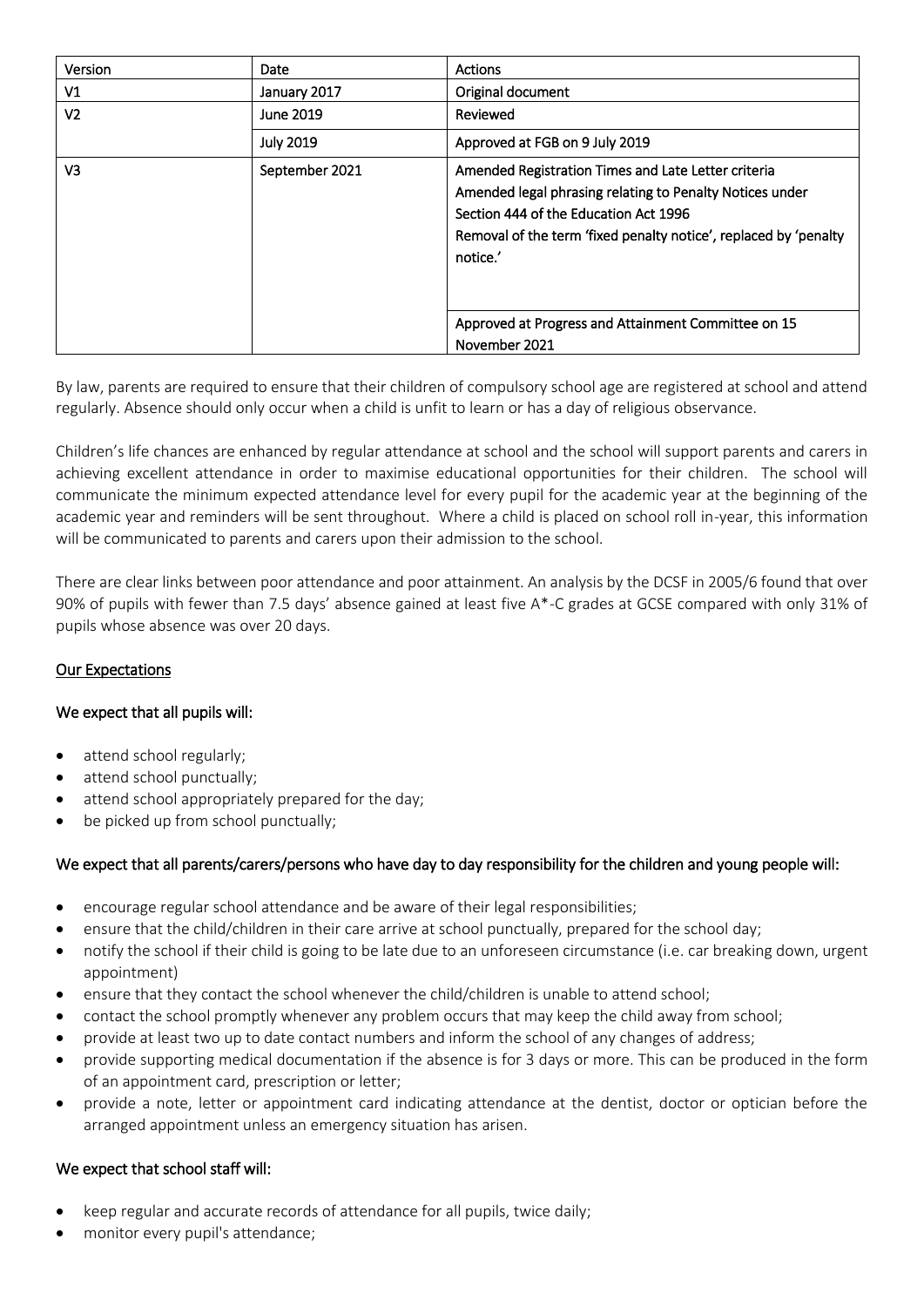| Version        | <b>Date</b>      | <b>Actions</b>                                                                                                                                                                                                                           |  |  |  |
|----------------|------------------|------------------------------------------------------------------------------------------------------------------------------------------------------------------------------------------------------------------------------------------|--|--|--|
| V1             | January 2017     | Original document                                                                                                                                                                                                                        |  |  |  |
| V <sub>2</sub> | June 2019        | Reviewed                                                                                                                                                                                                                                 |  |  |  |
|                | <b>July 2019</b> | Approved at FGB on 9 July 2019                                                                                                                                                                                                           |  |  |  |
| V <sub>3</sub> | September 2021   | Amended Registration Times and Late Letter criteria<br>Amended legal phrasing relating to Penalty Notices under<br>Section 444 of the Education Act 1996<br>Removal of the term 'fixed penalty notice', replaced by 'penalty<br>notice.' |  |  |  |
|                |                  | Approved at Progress and Attainment Committee on 15<br>November 2021                                                                                                                                                                     |  |  |  |

By law, parents are required to ensure that their children of compulsory school age are registered at school and attend regularly. Absence should only occur when a child is unfit to learn or has a day of religious observance.

Children's life chances are enhanced by regular attendance at school and the school will support parents and carers in achieving excellent attendance in order to maximise educational opportunities for their children. The school will communicate the minimum expected attendance level for every pupil for the academic year at the beginning of the academic year and reminders will be sent throughout. Where a child is placed on school roll in-year, this information will be communicated to parents and carers upon their admission to the school.

There are clear links between poor attendance and poor attainment. An analysis by the DCSF in 2005/6 found that over 90% of pupils with fewer than 7.5 days' absence gained at least five A\*-C grades at GCSE compared with only 31% of pupils whose absence was over 20 days.

#### Our Expectations

#### We expect that all pupils will:

- attend school regularly;
- attend school punctually;
- attend school appropriately prepared for the day;
- be picked up from school punctually;

#### We expect that all parents/carers/persons who have day to day responsibility for the children and young people will:

- encourage regular school attendance and be aware of their legal responsibilities;
- ensure that the child/children in their care arrive at school punctually, prepared for the school day;
- notify the school if their child is going to be late due to an unforeseen circumstance (i.e. car breaking down, urgent appointment)
- ensure that they contact the school whenever the child/children is unable to attend school;
- contact the school promptly whenever any problem occurs that may keep the child away from school;
- provide at least two up to date contact numbers and inform the school of any changes of address;
- provide supporting medical documentation if the absence is for 3 days or more. This can be produced in the form of an appointment card, prescription or letter;
- provide a note, letter or appointment card indicating attendance at the dentist, doctor or optician before the arranged appointment unless an emergency situation has arisen.

#### We expect that school staff will:

- keep regular and accurate records of attendance for all pupils, twice daily;
- monitor every pupil's attendance;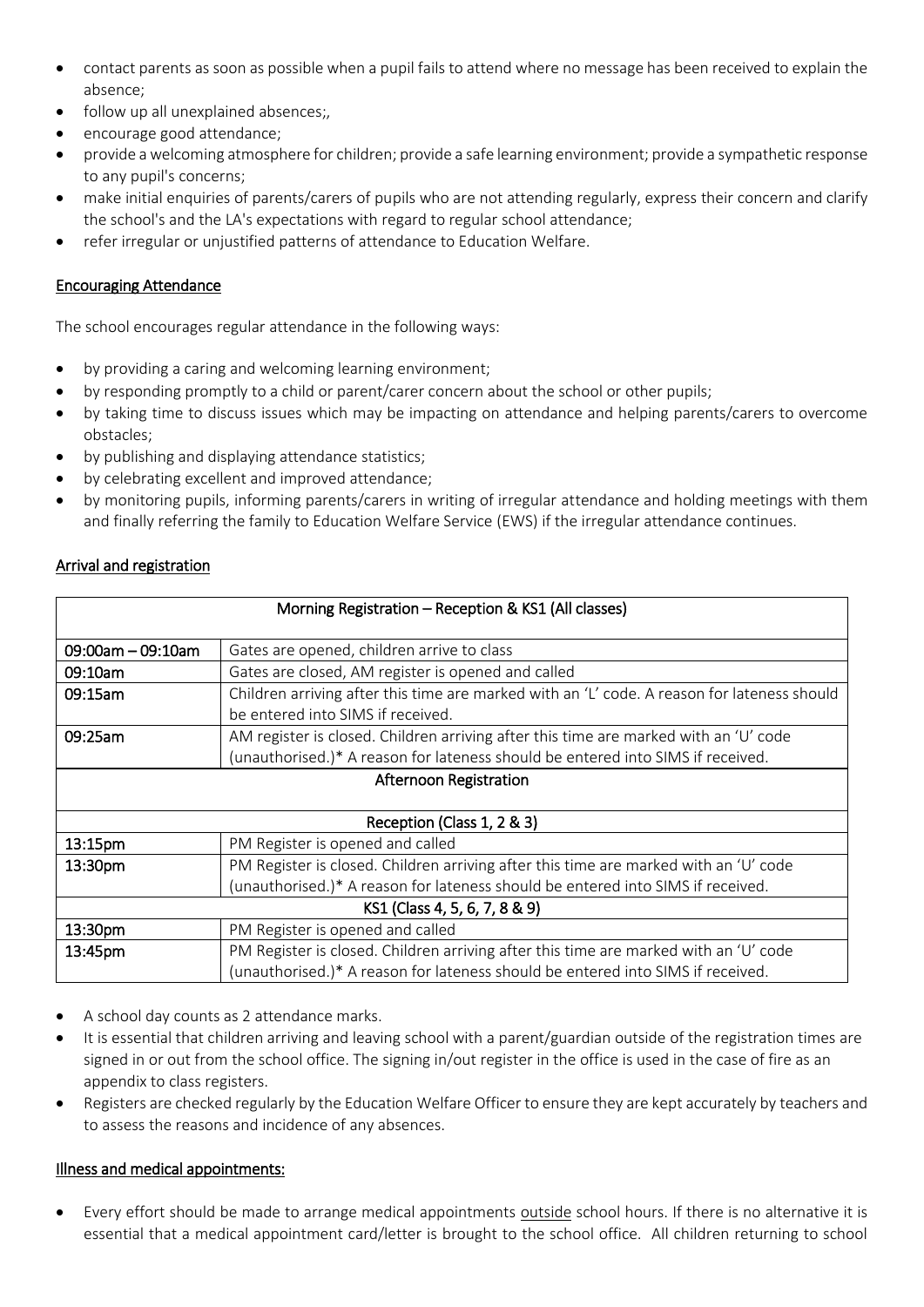- contact parents as soon as possible when a pupil fails to attend where no message has been received to explain the absence;
- follow up all unexplained absences;,
- encourage good attendance;
- provide a welcoming atmosphere for children; provide a safe learning environment; provide a sympathetic response to any pupil's concerns;
- make initial enquiries of parents/carers of pupils who are not attending regularly, express their concern and clarify the school's and the LA's expectations with regard to regular school attendance;
- refer irregular or unjustified patterns of attendance to Education Welfare.

## Encouraging Attendance

The school encourages regular attendance in the following ways:

- by providing a caring and welcoming learning environment;
- by responding promptly to a child or parent/carer concern about the school or other pupils;
- by taking time to discuss issues which may be impacting on attendance and helping parents/carers to overcome obstacles;
- by publishing and displaying attendance statistics;
- by celebrating excellent and improved attendance;
- by monitoring pupils, informing parents/carers in writing of irregular attendance and holding meetings with them and finally referring the family to Education Welfare Service (EWS) if the irregular attendance continues.

## Arrival and registration

| Morning Registration – Reception & KS1 (All classes) |                                                                                             |  |  |  |  |  |  |
|------------------------------------------------------|---------------------------------------------------------------------------------------------|--|--|--|--|--|--|
|                                                      |                                                                                             |  |  |  |  |  |  |
| $09:00$ am - 09:10am                                 | Gates are opened, children arrive to class                                                  |  |  |  |  |  |  |
| 09:10am                                              | Gates are closed, AM register is opened and called                                          |  |  |  |  |  |  |
| 09:15am                                              | Children arriving after this time are marked with an 'L' code. A reason for lateness should |  |  |  |  |  |  |
|                                                      | be entered into SIMS if received.                                                           |  |  |  |  |  |  |
| 09:25am                                              | AM register is closed. Children arriving after this time are marked with an 'U' code        |  |  |  |  |  |  |
|                                                      | (unauthorised.)* A reason for lateness should be entered into SIMS if received.             |  |  |  |  |  |  |
| Afternoon Registration                               |                                                                                             |  |  |  |  |  |  |
|                                                      |                                                                                             |  |  |  |  |  |  |
| Reception (Class 1, 2 & 3)                           |                                                                                             |  |  |  |  |  |  |
| 13:15pm                                              | PM Register is opened and called                                                            |  |  |  |  |  |  |
| 13:30pm                                              | PM Register is closed. Children arriving after this time are marked with an 'U' code        |  |  |  |  |  |  |
|                                                      | (unauthorised.)* A reason for lateness should be entered into SIMS if received.             |  |  |  |  |  |  |
| KS1 (Class 4, 5, 6, 7, 8 & 9)                        |                                                                                             |  |  |  |  |  |  |
| 13:30pm                                              | PM Register is opened and called                                                            |  |  |  |  |  |  |
| 13:45pm                                              | PM Register is closed. Children arriving after this time are marked with an 'U' code        |  |  |  |  |  |  |
|                                                      | (unauthorised.)* A reason for lateness should be entered into SIMS if received.             |  |  |  |  |  |  |

- A school day counts as 2 attendance marks.
- It is essential that children arriving and leaving school with a parent/guardian outside of the registration times are signed in or out from the school office. The signing in/out register in the office is used in the case of fire as an appendix to class registers.
- Registers are checked regularly by the Education Welfare Officer to ensure they are kept accurately by teachers and to assess the reasons and incidence of any absences.

#### Illness and medical appointments:

• Every effort should be made to arrange medical appointments outside school hours. If there is no alternative it is essential that a medical appointment card/letter is brought to the school office. All children returning to school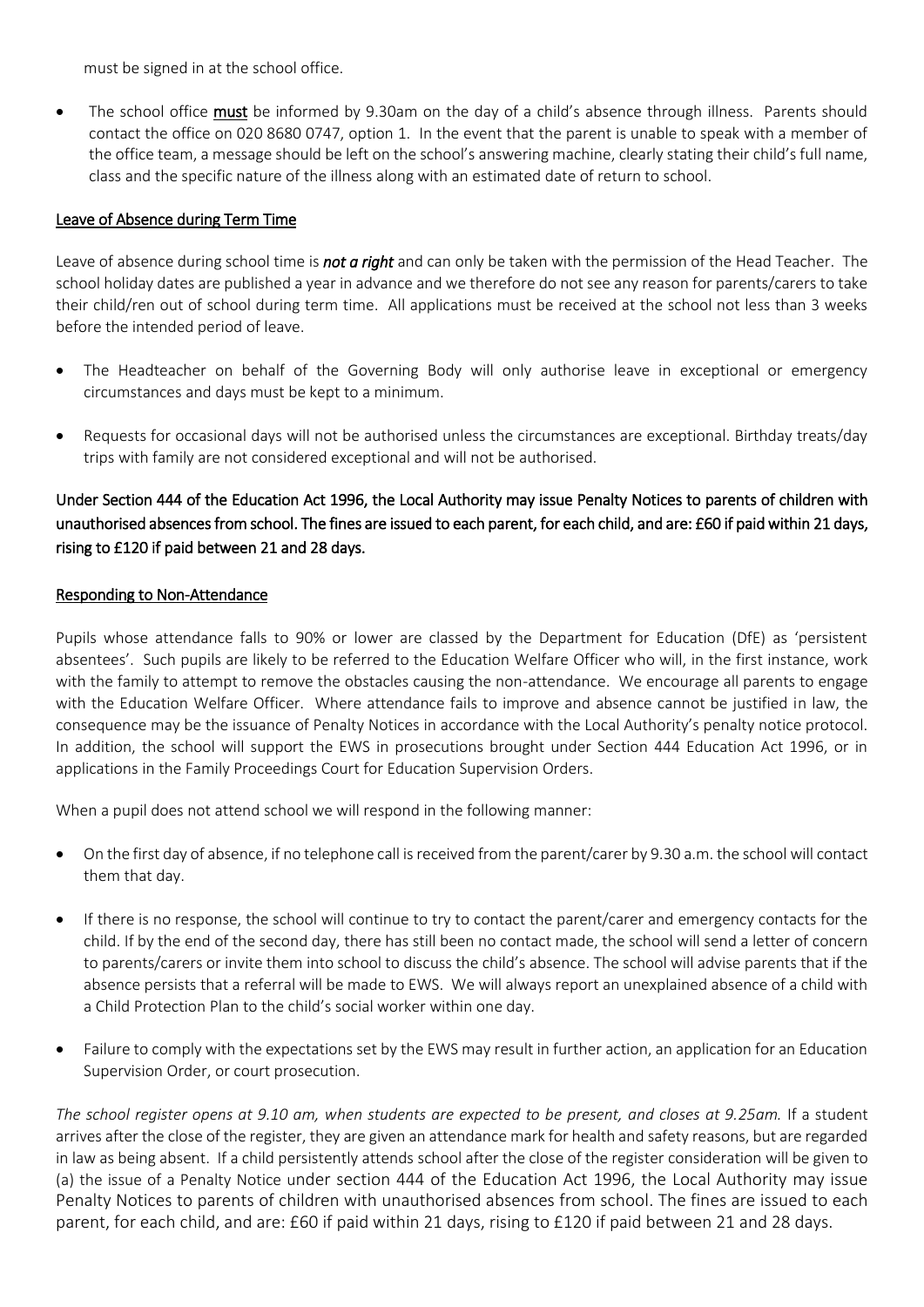must be signed in at the school office.

The school office must be informed by 9.30am on the day of a child's absence through illness. Parents should contact the office on 020 8680 0747, option 1. In the event that the parent is unable to speak with a member of the office team, a message should be left on the school's answering machine, clearly stating their child's full name, class and the specific nature of the illness along with an estimated date of return to school.

#### Leave of Absence during Term Time

Leave of absence during school time is *not a right* and can only be taken with the permission of the Head Teacher. The school holiday dates are published a year in advance and we therefore do not see any reason for parents/carers to take their child/ren out of school during term time. All applications must be received at the school not less than 3 weeks before the intended period of leave.

- The Headteacher on behalf of the Governing Body will only authorise leave in exceptional or emergency circumstances and days must be kept to a minimum.
- Requests for occasional days will not be authorised unless the circumstances are exceptional. Birthday treats/day trips with family are not considered exceptional and will not be authorised.

## Under Section 444 of the Education Act 1996, the Local Authority may issue Penalty Notices to parents of children with unauthorised absences from school. The fines are issued to each parent, for each child, and are: £60 if paid within 21 days, rising to £120 if paid between 21 and 28 days.

### Responding to Non-Attendance

Pupils whose attendance falls to 90% or lower are classed by the Department for Education (DfE) as 'persistent absentees'. Such pupils are likely to be referred to the Education Welfare Officer who will, in the first instance, work with the family to attempt to remove the obstacles causing the non-attendance. We encourage all parents to engage with the Education Welfare Officer. Where attendance fails to improve and absence cannot be justified in law, the consequence may be the issuance of Penalty Notices in accordance with the Local Authority's penalty notice protocol. In addition, the school will support the EWS in prosecutions brought under Section 444 Education Act 1996, or in applications in the Family Proceedings Court for Education Supervision Orders.

When a pupil does not attend school we will respond in the following manner:

- On the first day of absence, if no telephone call is received from the parent/carer by 9.30 a.m. the school will contact them that day.
- If there is no response, the school will continue to try to contact the parent/carer and emergency contacts for the child. If by the end of the second day, there has still been no contact made, the school will send a letter of concern to parents/carers or invite them into school to discuss the child's absence. The school will advise parents that if the absence persists that a referral will be made to EWS. We will always report an unexplained absence of a child with a Child Protection Plan to the child's social worker within one day.
- Failure to comply with the expectations set by the EWS may result in further action, an application for an Education Supervision Order, or court prosecution.

*The school register opens at 9.10 am, when students are expected to be present, and closes at 9.25am.* If a student arrives after the close of the register, they are given an attendance mark for health and safety reasons, but are regarded in law as being absent. If a child persistently attends school after the close of the register consideration will be given to (a) the issue of a Penalty Notice under section 444 of the Education Act 1996, the Local Authority may issue Penalty Notices to parents of children with unauthorised absences from school. The fines are issued to each parent, for each child, and are: £60 if paid within 21 days, rising to £120 if paid between 21 and 28 days.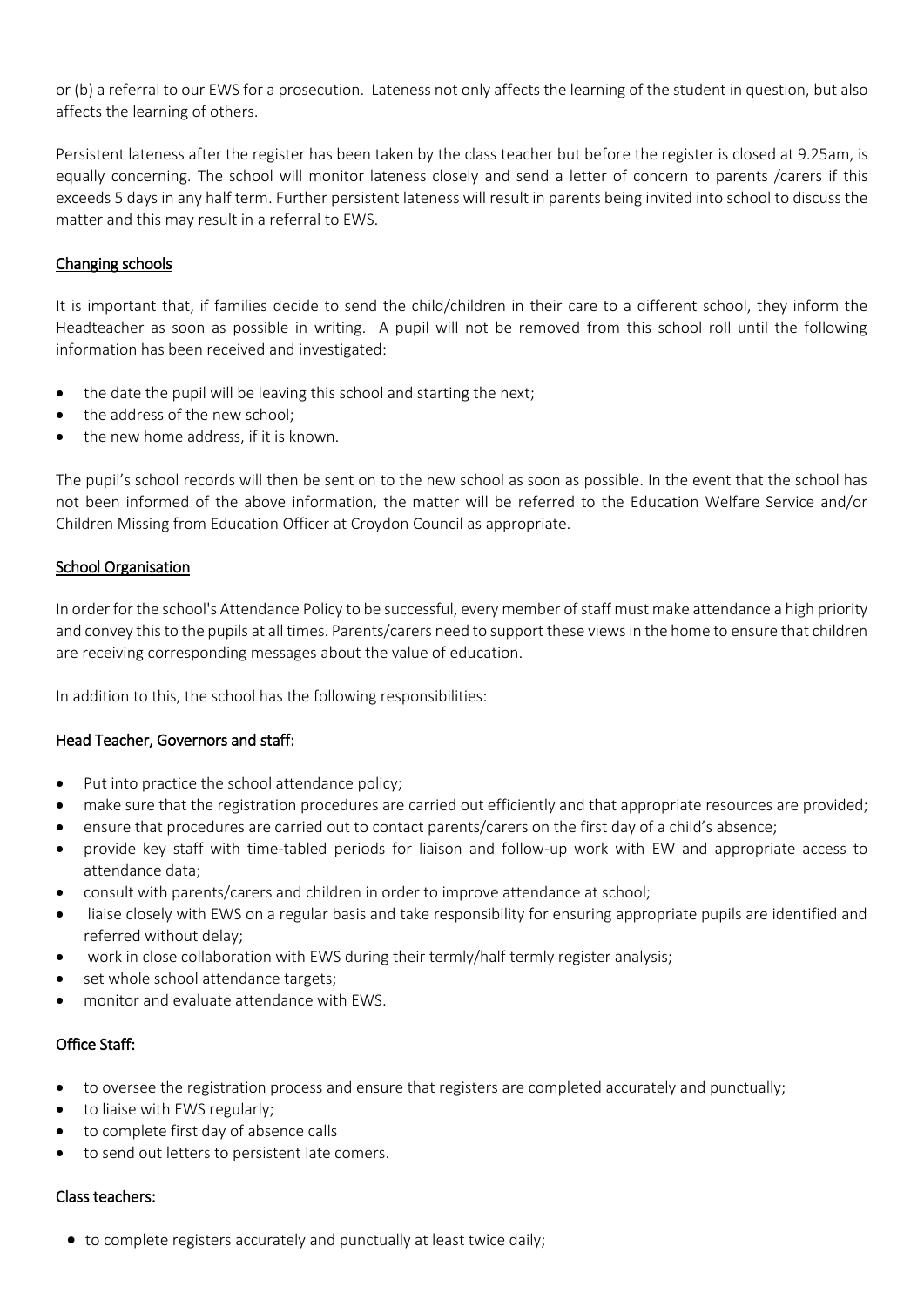or (b) a referral to our EWS for a prosecution. Lateness not only affects the learning of the student in question, but also affects the learning of others.

Persistent lateness after the register has been taken by the class teacher but before the register is closed at 9.25am, is equally concerning. The school will monitor lateness closely and send a letter of concern to parents /carers if this exceeds 5 days in any half term. Further persistent lateness will result in parents being invited into school to discuss the matter and this may result in a referral to EWS.

### Changing schools

It is important that, if families decide to send the child/children in their care to a different school, they inform the Headteacher as soon as possible in writing. A pupil will not be removed from this school roll until the following information has been received and investigated:

- the date the pupil will be leaving this school and starting the next;
- the address of the new school;
- the new home address, if it is known.

The pupil's school records will then be sent on to the new school as soon as possible. In the event that the school has not been informed of the above information, the matter will be referred to the Education Welfare Service and/or Children Missing from Education Officer at Croydon Council as appropriate.

#### School Organisation

In order for the school's Attendance Policy to be successful, every member of staff must make attendance a high priority and convey this to the pupils at all times. Parents/carers need to support these views in the home to ensure that children are receiving corresponding messages about the value of education.

In addition to this, the school has the following responsibilities:

#### Head Teacher, Governors and staff:

- Put into practice the school attendance policy;
- make sure that the registration procedures are carried out efficiently and that appropriate resources are provided;
- ensure that procedures are carried out to contact parents/carers on the first day of a child's absence;
- provide key staff with time-tabled periods for liaison and follow-up work with EW and appropriate access to attendance data;
- consult with parents/carers and children in order to improve attendance at school;
- liaise closely with EWS on a regular basis and take responsibility for ensuring appropriate pupils are identified and referred without delay;
- work in close collaboration with EWS during their termly/half termly register analysis;
- set whole school attendance targets;
- monitor and evaluate attendance with EWS.

#### Office Staff:

- to oversee the registration process and ensure that registers are completed accurately and punctually;
- to liaise with EWS regularly;
- to complete first day of absence calls
- to send out letters to persistent late comers.

#### Class teachers:

• to complete registers accurately and punctually at least twice daily;